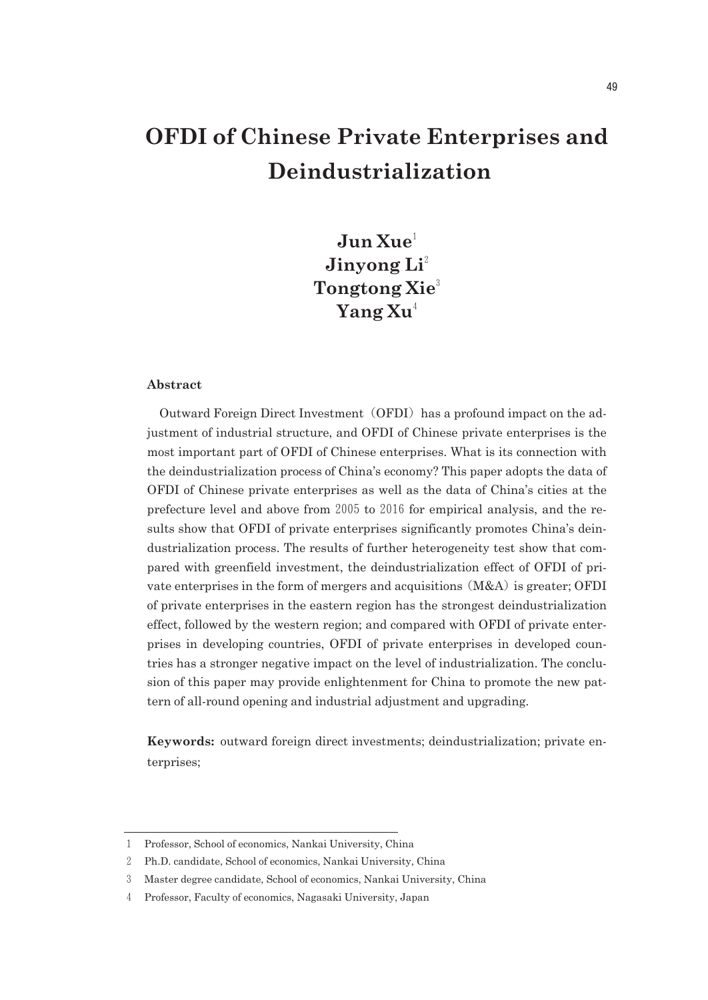# **OFDI of Chinese Private Enterprises and Deindustrialization**

**Jun Xue**<sup>1</sup> **Jinyong Li**<sup>2</sup> **Tongtong Xie**<sup>3</sup> **Yang Xu**<sup>4</sup>

#### **Abstract**

Outward Foreign Direct Investment (OFDI) has a profound impact on the adjustment of industrial structure, and OFDI of Chinese private enterprises is the most important part of OFDI of Chinese enterprises. What is its connection with the deindustrialization process of China's economy? This paper adopts the data of OFDI of Chinese private enterprises as well as the data of China's cities at the prefecture level and above from  $2005$  to  $2016$  for empirical analysis, and the results show that OFDI of private enterprises significantly promotes China's deindustrialization process. The results of further heterogeneity test show that compared with greenfield investment, the deindustrialization effect of OFDI of private enterprises in the form of mergers and acquisitions  $(M&A)$  is greater; OFDI of private enterprises in the eastern region has the strongest deindustrialization effect, followed by the western region; and compared with OFDI of private enterprises in developing countries, OFDI of private enterprises in developed countries has a stronger negative impact on the level of industrialization. The conclusion of this paper may provide enlightenment for China to promote the new pattern of all-round opening and industrial adjustment and upgrading.

**Keywords:** outward foreign direct investments; deindustrialization; private enterprises;

<sup>1</sup> Professor, School of economics, Nankai University, China

<sup>2</sup> Ph.D. candidate, School of economics, Nankai University, China

<sup>3</sup> Master degree candidate, School of economics, Nankai University, China

<sup>4</sup> Professor, Faculty of economics, Nagasaki University, Japan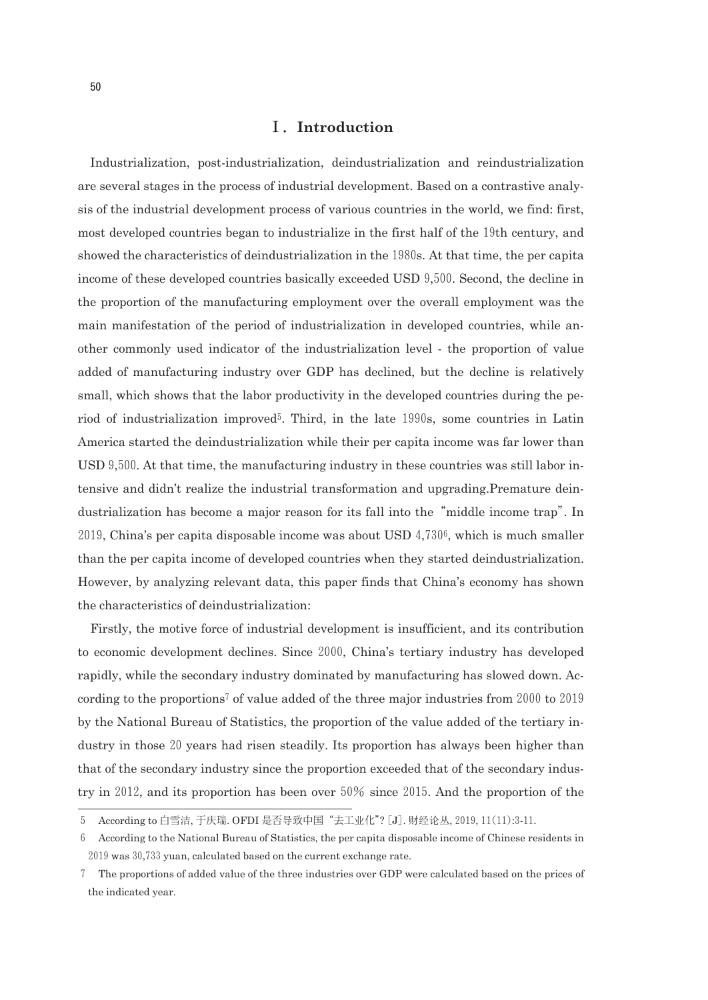## Ⅰ.**Introduction**

Industrialization, postindustrialization, deindustrialization and reindustrialization are several stages in the process of industrial development. Based on a contrastive analysis of the industrial development process of various countries in the world, we find: first, most developed countries began to industrialize in the first half of the19th century, and showed the characteristics of deindustrialization in the1980s. At that time, the per capita income of these developed countries basically exceeded USD 9,500. Second, the decline in the proportion of the manufacturing employment over the overall employment was the main manifestation of the period of industrialization in developed countries, while another commonly used indicator of the industrialization level the proportion of value added of manufacturing industry over GDP has declined, but the decline is relatively small, which shows that the labor productivity in the developed countries during the period of industrialization improved5. Third, in the late 1990s, some countries in Latin America started the deindustrialization while their per capita income was far lower than USD 9,500. At that time, the manufacturing industry in these countries was still labor intensive and didn't realize the industrial transformation and upgrading.Premature deindustrialization has become a major reason for its fall into the"middle income trap". In  $2019$ , China's per capita disposable income was about USD  $4,730^6$ , which is much smaller than the per capita income of developed countries when they started deindustrialization. However, by analyzing relevant data, this paper finds that China's economy has shown the characteristics of deindustrialization:

Firstly, the motive force of industrial development is insufficient, and its contribution to economic development declines. Since 2000, China's tertiary industry has developed rapidly, while the secondary industry dominated by manufacturing has slowed down. According to the proportions<sup>7</sup> of value added of the three major industries from  $2000$  to  $2019$ by the National Bureau of Statistics, the proportion of the value added of the tertiary industry in those20years had risen steadily. Its proportion has always been higher than that of the secondary industry since the proportion exceeded that of the secondary industry in 2012, and its proportion has been over  $50\%$  since 2015. And the proportion of the

<sup>5</sup> According to 白雪洁, 于庆瑞. OFDI 是否导致中国"去工业化"?[J]. 财经论丛,2019,11(11):311.

<sup>6</sup> According to the National Bureau of Statistics, the per capita disposable income of Chinese residents in 2019was30,733yuan, calculated based on the current exchange rate.

<sup>7</sup> The proportions of added value of the three industries over GDP were calculated based on the prices of the indicated year.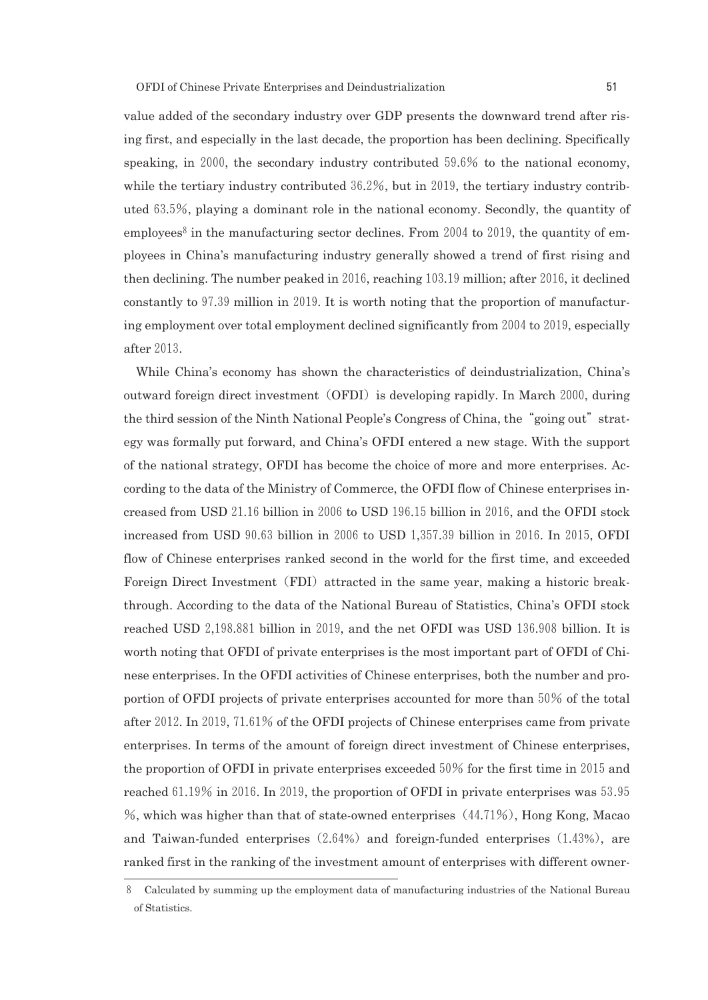value added of the secondary industry over GDP presents the downward trend after rising first, and especially in the last decade, the proportion has been declining. Specifically speaking, in 2000, the secondary industry contributed 59.6% to the national economy, while the tertiary industry contributed  $36.2\%$ , but in 2019, the tertiary industry contributed  $63.5\%$ , playing a dominant role in the national economy. Secondly, the quantity of employees<sup>8</sup> in the manufacturing sector declines. From 2004 to 2019, the quantity of employees in China's manufacturing industry generally showed a trend of first rising and then declining. The number peaked in  $2016$ , reaching  $103.19$  million; after  $2016$ , it declined constantly to97.39million in2019. It is worth noting that the proportion of manufacturing employment over total employment declined significantly from 2004 to 2019, especially after 2013.

While China's economy has shown the characteristics of deindustrialization, China's outward foreign direct investment (OFDI) is developing rapidly. In March 2000, during the third session of the Ninth National People's Congress of China, the "going out" strategy was formally put forward, and China's OFDI entered a new stage. With the support of the national strategy, OFDI has become the choice of more and more enterprises. According to the data of the Ministry of Commerce, the OFDI flow of Chinese enterprises increased from USD  $21.16$  billion in  $2006$  to USD  $196.15$  billion in  $2016$ , and the OFDI stock increased from USD 90.63 billion in 2006 to USD 1,357.39 billion in 2016. In 2015, OFDI flow of Chinese enterprises ranked second in the world for the first time, and exceeded Foreign Direct Investment (FDI) attracted in the same year, making a historic breakthrough. According to the data of the National Bureau of Statistics, China's OFDI stock reached USD 2,198.881 billion in 2019, and the net OFDI was USD 136.908 billion. It is worth noting that OFDI of private enterprises is the most important part of OFDI of Chinese enterprises. In the OFDI activities of Chinese enterprises, both the number and proportion of OFDI projects of private enterprises accounted for more than  $50\%$  of the total after 2012. In 2019, 71.61% of the OFDI projects of Chinese enterprises came from private enterprises. In terms of the amount of foreign direct investment of Chinese enterprises, the proportion of OFDI in private enterprises exceeded  $50\%$  for the first time in 2015 and reached 61.19% in 2016. In 2019, the proportion of OFDI in private enterprises was  $53.95$  $\%$ , which was higher than that of state-owned enterprises  $(44.71\%)$ , Hong Kong, Macao and Taiwan-funded enterprises  $(2.64%)$  and foreign-funded enterprises  $(1.43%)$ , are ranked first in the ranking of the investment amount of enterprises with different owner

<sup>8</sup> Calculated by summing up the employment data of manufacturing industries of the National Bureau of Statistics.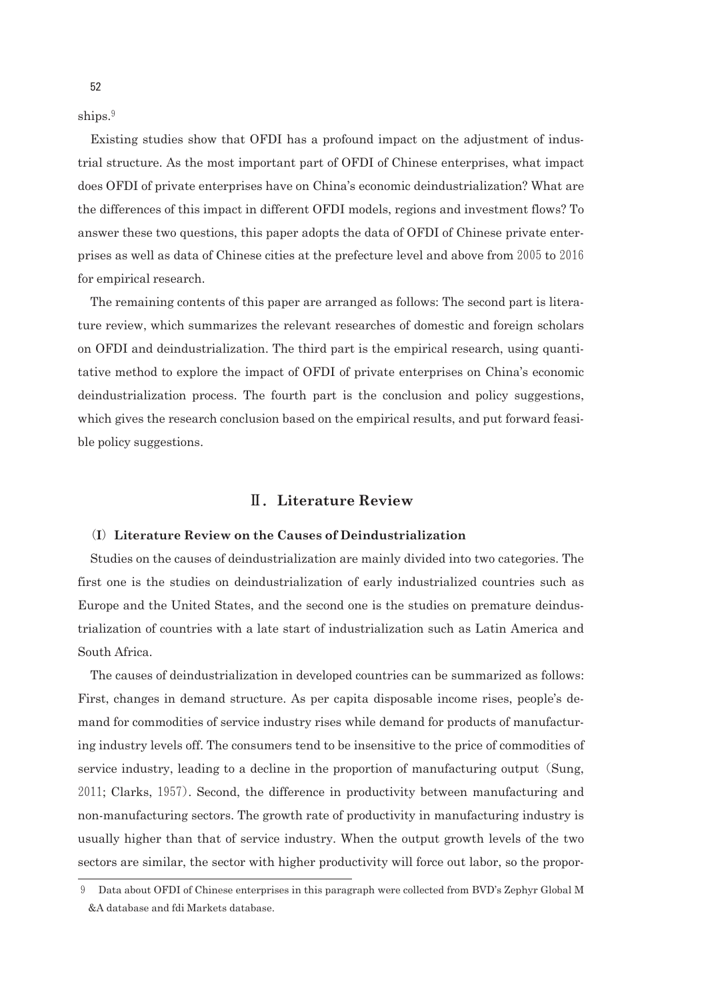ships.<sup>9</sup>

Existing studies show that OFDI has a profound impact on the adjustment of industrial structure. As the most important part of OFDI of Chinese enterprises, what impact does OFDI of private enterprises have on China's economic deindustrialization? What are the differences of this impact in different OFDI models, regions and investment flows? To answer these two questions, this paper adopts the data of OFDI of Chinese private enterprises as well as data of Chinese cities at the prefecture level and above from 2005 to 2016 for empirical research.

The remaining contents of this paper are arranged as follows: The second part is literature review, which summarizes the relevant researches of domestic and foreign scholars on OFDI and deindustrialization. The third part is the empirical research, using quantitative method to explore the impact of OFDI of private enterprises on China's economic deindustrialization process. The fourth part is the conclusion and policy suggestions, which gives the research conclusion based on the empirical results, and put forward feasible policy suggestions.

## Ⅱ.**Literature Review**

## (**I**)**Literature Review on the Causes of Deindustrialization**

Studies on the causes of deindustrialization are mainly divided into two categories. The first one is the studies on deindustrialization of early industrialized countries such as Europe and the United States, and the second one is the studies on premature deindustrialization of countries with a late start of industrialization such as Latin America and South Africa.

The causes of deindustrialization in developed countries can be summarized as follows: First, changes in demand structure. As per capita disposable income rises, people's demand for commodities of service industry rises while demand for products of manufacturing industry levels off. The consumers tend to be insensitive to the price of commodities of service industry, leading to a decline in the proportion of manufacturing output (Sung, 2011; Clarks,1957). Second, the difference in productivity between manufacturing and non-manufacturing sectors. The growth rate of productivity in manufacturing industry is usually higher than that of service industry. When the output growth levels of the two sectors are similar, the sector with higher productivity will force out labor, so the propor

Data about OFDI of Chinese enterprises in this paragraph were collected from BVD's Zephyr Global M &A database and fdi Markets database.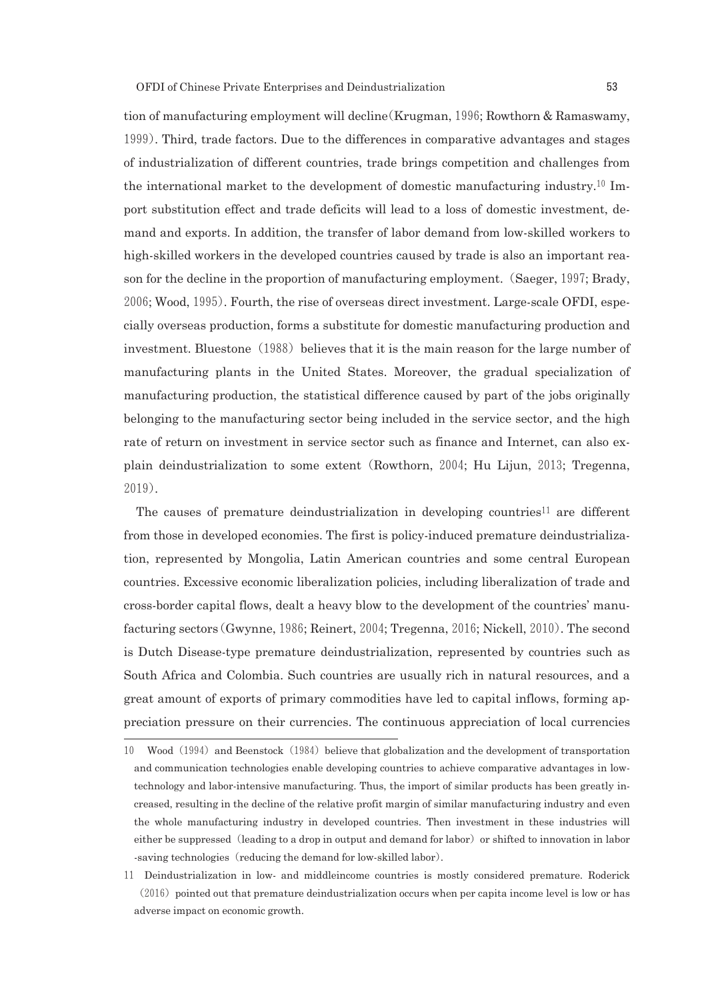tion of manufacturing employment will decline(Krugman,1996; Rowthorn & Ramaswamy, 1999). Third, trade factors. Due to the differences in comparative advantages and stages of industrialization of different countries, trade brings competition and challenges from the international market to the development of domestic manufacturing industry.10 Import substitution effect and trade deficits will lead to a loss of domestic investment, demand and exports. In addition, the transfer of labor demand from lowskilled workers to high-skilled workers in the developed countries caused by trade is also an important reason for the decline in the proportion of manufacturing employment. (Saeger, 1997; Brady, 2006; Wood, 1995). Fourth, the rise of overseas direct investment. Large-scale OFDI, especially overseas production, forms a substitute for domestic manufacturing production and investment. Bluestone  $(1988)$  believes that it is the main reason for the large number of manufacturing plants in the United States. Moreover, the gradual specialization of manufacturing production, the statistical difference caused by part of the jobs originally belonging to the manufacturing sector being included in the service sector, and the high rate of return on investment in service sector such as finance and Internet, can also explain deindustrialization to some extent(Rowthorn, 2004; Hu Lijun, 2013; Tregenna, 2019).

The causes of premature deindustrialization in developing countries<sup>11</sup> are different from those in developed economies. The first is policy-induced premature deindustrialization, represented by Mongolia, Latin American countries and some central European countries. Excessive economic liberalization policies, including liberalization of trade and crossborder capital flows, dealt a heavy blow to the development of the countries' manufacturing sectors(Gwynne,1986; Reinert,2004; Tregenna,2016; Nickell,2010). The second is Dutch Disease-type premature deindustrialization, represented by countries such as South Africa and Colombia. Such countries are usually rich in natural resources, and a great amount of exports of primary commodities have led to capital inflows, forming appreciation pressure on their currencies. The continuous appreciation of local currencies

<sup>10</sup> Wood (1994) and Beenstock (1984) believe that globalization and the development of transportation and communication technologies enable developing countries to achieve comparative advantages in lowtechnology and labor-intensive manufacturing. Thus, the import of similar products has been greatly increased, resulting in the decline of the relative profit margin of similar manufacturing industry and even the whole manufacturing industry in developed countries. Then investment in these industries will either be suppressed (leading to a drop in output and demand for labor) or shifted to innovation in labor saving technologies (reducing the demand for low-skilled labor).

<sup>11</sup> Deindustrialization in low and middleincome countries is mostly considered premature. Roderick  $(2016)$  pointed out that premature deindustrialization occurs when per capita income level is low or has adverse impact on economic growth.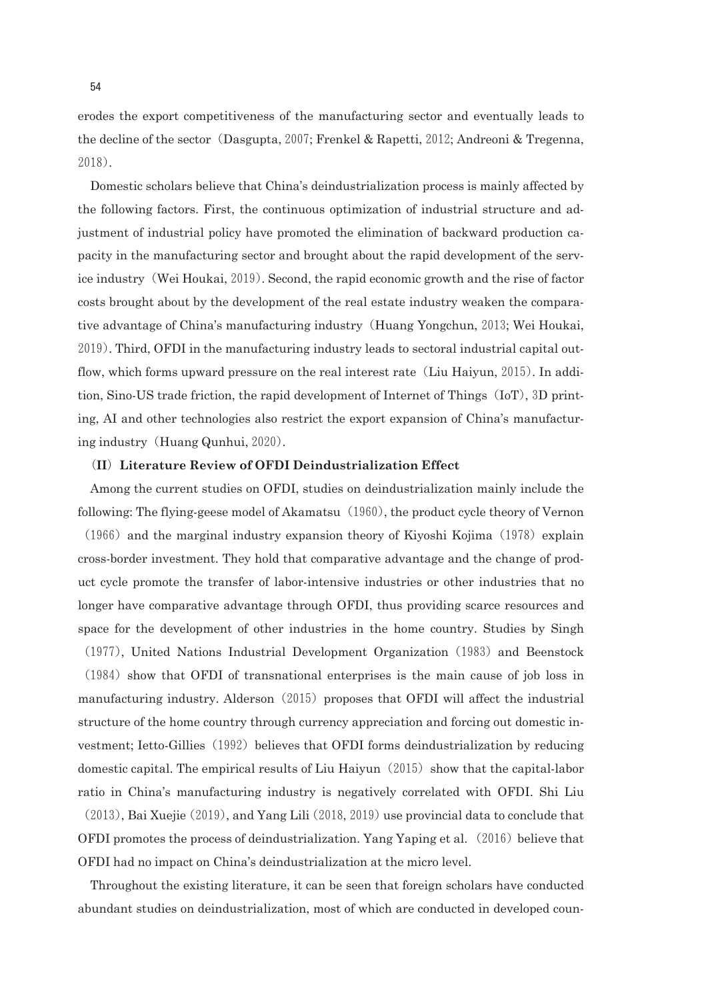erodes the export competitiveness of the manufacturing sector and eventually leads to the decline of the sector (Dasgupta, 2007; Frenkel & Rapetti, 2012; Andreoni & Tregenna, 2018).

Domestic scholars believe that China's deindustrialization process is mainly affected by the following factors. First, the continuous optimization of industrial structure and adjustment of industrial policy have promoted the elimination of backward production capacity in the manufacturing sector and brought about the rapid development of the service industry (Wei Houkai, 2019). Second, the rapid economic growth and the rise of factor costs brought about by the development of the real estate industry weaken the comparative advantage of China's manufacturing industry(Huang Yongchun,2013; Wei Houkai, 2019). Third, OFDI in the manufacturing industry leads to sectoral industrial capital outflow, which forms upward pressure on the real interest rate (Liu Haiyun, 2015). In addition, Sino-US trade friction, the rapid development of Internet of Things  $(IoT)$ , 3D printing, AI and other technologies also restrict the export expansion of China's manufacturing industry(Huang Qunhui,2020).

### (**II**)**Literature Review of OFDI Deindustrialization Effect**

Among the current studies on OFDI, studies on deindustrialization mainly include the following: The flying-geese model of Akamatsu  $(1960)$ , the product cycle theory of Vernon  $(1966)$  and the marginal industry expansion theory of Kiyoshi Kojima  $(1978)$  explain crossborder investment. They hold that comparative advantage and the change of product cycle promote the transfer of laborintensive industries or other industries that no longer have comparative advantage through OFDI, thus providing scarce resources and space for the development of other industries in the home country. Studies by Singh

 $(1984)$  show that OFDI of transnational enterprises is the main cause of job loss in manufacturing industry. Alderson  $(2015)$  proposes that OFDI will affect the industrial structure of the home country through currency appreciation and forcing out domestic investment; Ietto-Gillies (1992) believes that OFDI forms deindustrialization by reducing domestic capital. The empirical results of Liu Haiyun $(2015)$  show that the capital-labor ratio in China's manufacturing industry is negatively correlated with OFDI. Shi Liu

(1977), United Nations Industrial Development Organization(1983)and Beenstock

 $(2013)$ , Bai Xuejie  $(2019)$ , and Yang Lili $(2018, 2019)$ use provincial data to conclude that OFDI promotes the process of deindustrialization. Yang Yaping et al.  $(2016)$  believe that OFDI had no impact on China's deindustrialization at the micro level.

Throughout the existing literature, it can be seen that foreign scholars have conducted abundant studies on deindustrialization, most of which are conducted in developed coun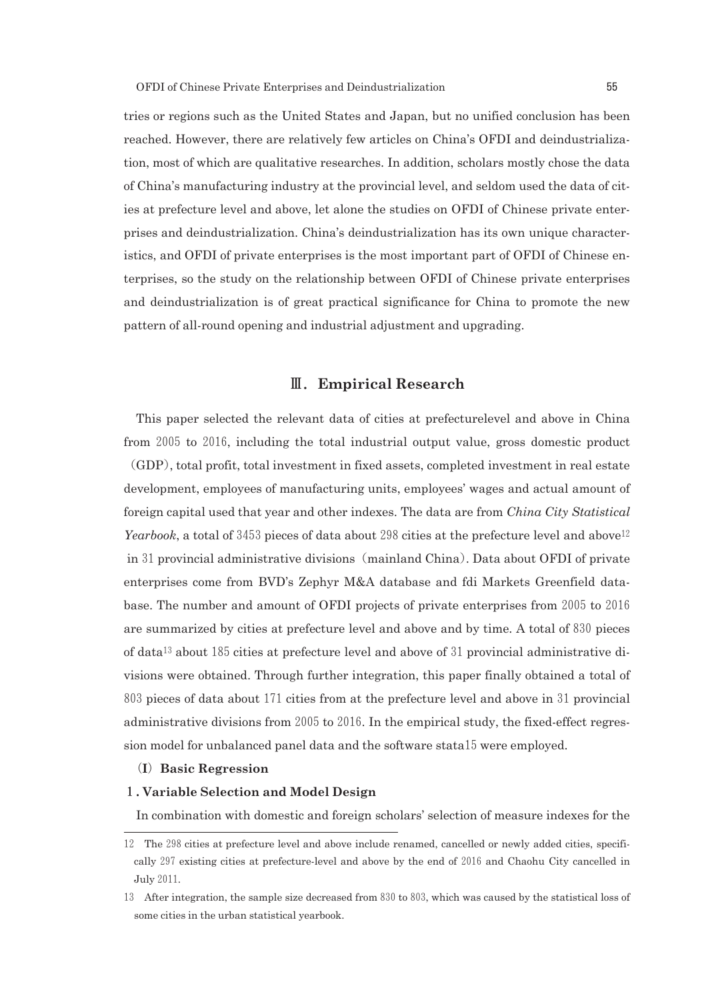tries or regions such as the United States and Japan, but no unified conclusion has been reached. However, there are relatively few articles on China's OFDI and deindustrialization, most of which are qualitative researches. In addition, scholars mostly chose the data of China's manufacturing industry at the provincial level, and seldom used the data of cities at prefecture level and above, let alone the studies on OFDI of Chinese private enterprises and deindustrialization. China's deindustrialization has its own unique characteristics, and OFDI of private enterprises is the most important part of OFDI of Chinese enterprises, so the study on the relationship between OFDI of Chinese private enterprises and deindustrialization is of great practical significance for China to promote the new pattern of all-round opening and industrial adjustment and upgrading.

# Ⅲ.**Empirical Research**

This paper selected the relevant data of cities at prefecturelevel and above in China from 2005 to 2016, including the total industrial output value, gross domestic product (GDP), total profit, total investment in fixed assets, completed investment in real estate development, employees of manufacturing units, employees' wages and actual amount of foreign capital used that year and other indexes. The data are from *China City Statistical Yearbook*, a total of 3453 pieces of data about 298 cities at the prefecture level and above<sup>12</sup> in 31 provincial administrative divisions (mainland China). Data about OFDI of private enterprises come from BVD's Zephyr M&A database and fdi Markets Greenfield database. The number and amount of OFDI projects of private enterprises from 2005 to 2016 are summarized by cities at prefecture level and above and by time. A total of 830 pieces of data<sup>13</sup> about 185 cities at prefecture level and above of 31 provincial administrative divisions were obtained. Through further integration, this paper finally obtained a total of  $803$  pieces of data about 171 cities from at the prefecture level and above in 31 provincial administrative divisions from  $2005$  to  $2016$ . In the empirical study, the fixed-effect regression model for unbalanced panel data and the software stata15 were employed.

#### (**I**)**Basic Regression**

#### 1**. Variable Selection and Model Design**

In combination with domestic and foreign scholars' selection of measure indexes for the

<sup>12</sup> The 298 cities at prefecture level and above include renamed, cancelled or newly added cities, specifically 297 existing cities at prefecture-level and above by the end of 2016 and Chaohu City cancelled in July2011.

<sup>13</sup> After integration, the sample size decreased from 830 to 803, which was caused by the statistical loss of some cities in the urban statistical yearbook.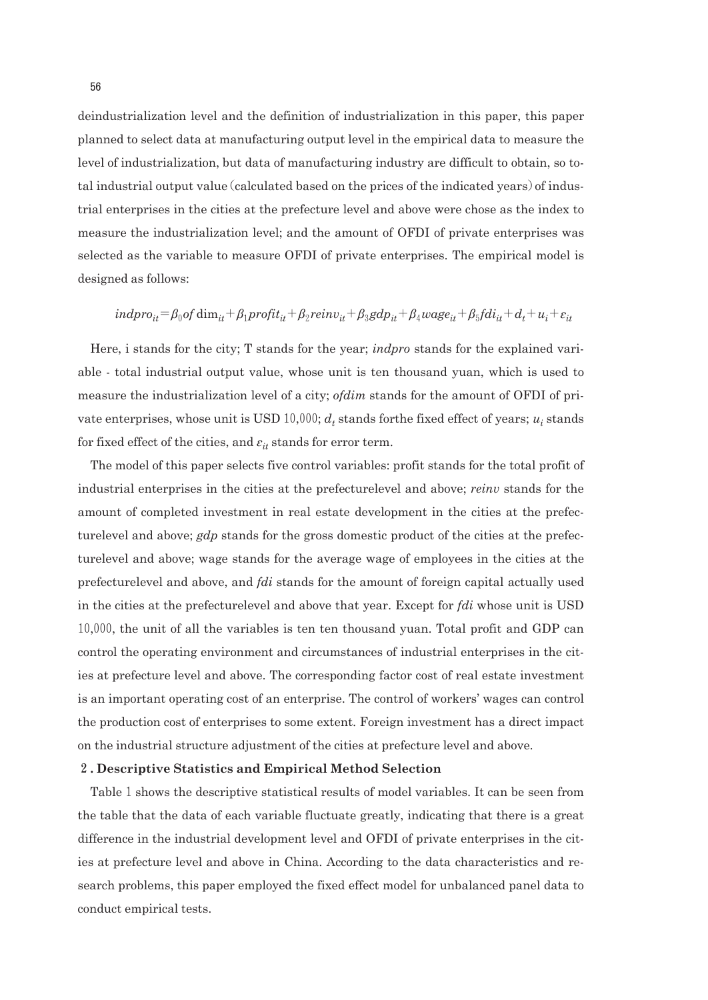deindustrialization level and the definition of industrialization in this paper, this paper planned to select data at manufacturing output level in the empirical data to measure the level of industrialization, but data of manufacturing industry are difficult to obtain, so total industrial output value (calculated based on the prices of the indicated years) of industrial enterprises in the cities at the prefecture level and above were chose as the index to measure the industrialization level; and the amount of OFDI of private enterprises was selected as the variable to measure OFDI of private enterprises. The empirical model is designed as follows:

$$
indpro_{it} = \beta_0 of \text{ dim}_{it} + \beta_1 profit_{it} + \beta_2 reinv_{it} + \beta_3 gdp_{it} + \beta_4 wage_{it} + \beta_5 fdi_{it} + d_t + u_i + \varepsilon_{it}
$$

Here, i stands for the city; T stands for the year; *indpro* stands for the explained variable total industrial output value, whose unit is ten thousand yuan, which is used to measure the industrialization level of a city; *ofdim* stands for the amount of OFDI of private enterprises, whose unit is USD  $10,000$ ;  $d_t$  stands for the fixed effect of years;  $u_i$  stands for fixed effect of the cities, and  $\varepsilon_{it}$  stands for error term.

The model of this paper selects five control variables: profit stands for the total profit of industrial enterprises in the cities at the prefecturelevel and above; *reinv* stands for the amount of completed investment in real estate development in the cities at the prefecturelevel and above; *gdp* stands for the gross domestic product of the cities at the prefecturelevel and above; wage stands for the average wage of employees in the cities at the prefecturelevel and above, and *fdi* stands for the amount of foreign capital actually used in the cities at the prefecturelevel and above that year. Except for *fdi* whose unit is USD 10,000, the unit of all the variables is ten ten thousand yuan. Total profit and GDP can control the operating environment and circumstances of industrial enterprises in the cities at prefecture level and above. The corresponding factor cost of real estate investment is an important operating cost of an enterprise. The control of workers' wages can control the production cost of enterprises to some extent. Foreign investment has a direct impact on the industrial structure adjustment of the cities at prefecture level and above.

#### 2**. Descriptive Statistics and Empirical Method Selection**

Table 1 shows the descriptive statistical results of model variables. It can be seen from the table that the data of each variable fluctuate greatly, indicating that there is a great difference in the industrial development level and OFDI of private enterprises in the cities at prefecture level and above in China. According to the data characteristics and research problems, this paper employed the fixed effect model for unbalanced panel data to conduct empirical tests.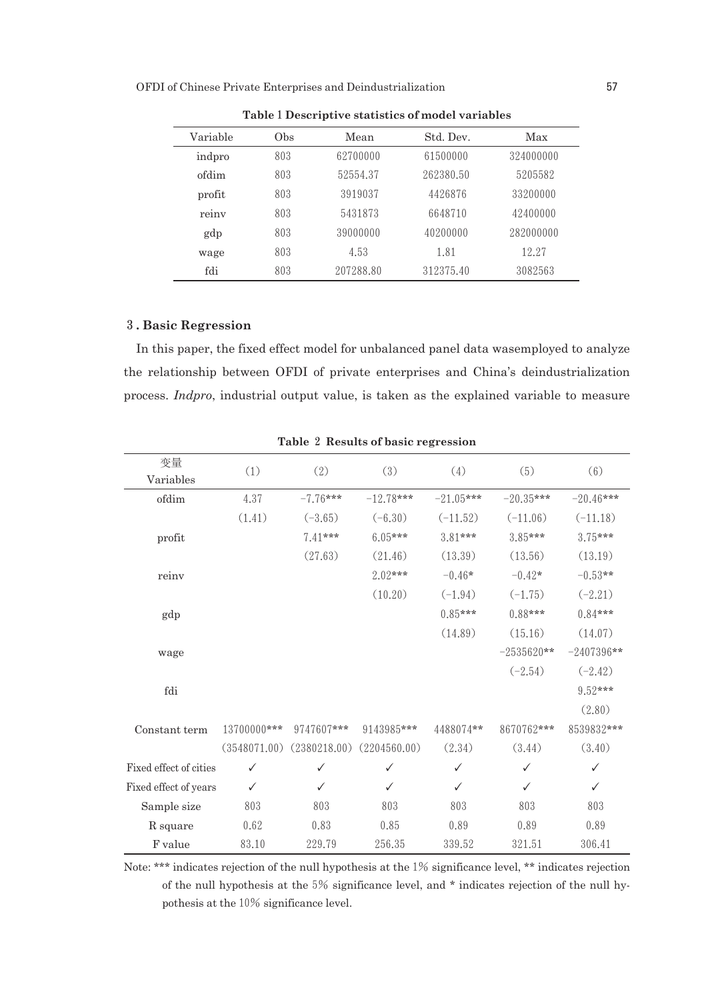OFDI of Chinese Private Enterprises and Deindustrialization 57

| Variable | Obs | Mean      | Std. Dev. | Max       |
|----------|-----|-----------|-----------|-----------|
| indpro   | 803 | 62700000  | 61500000  | 324000000 |
| ofdim    | 803 | 52554.37  | 262380.50 | 5205582   |
| profit   | 803 | 3919037   | 4426876   | 33200000  |
| reiny    | 803 | 5431873   | 6648710   | 42400000  |
| gdp      | 803 | 39000000  | 40200000  | 282000000 |
| wage     | 803 | 4.53      | 1.81      | 12.27     |
| fdi      | 803 | 207288.80 | 312375.40 | 3082563   |

**Table**1**Descriptive statistics of model variables**

#### 3**. Basic Regression**

In this paper, the fixed effect model for unbalanced panel data wasemployed to analyze the relationship between OFDI of private enterprises and China's deindustrialization process. *Indpro*, industrial output value, is taken as the explained variable to measure

| 变量<br>Variables        | (1)          | (2)          | (3)          | (4)         | (5)          | (6)          |
|------------------------|--------------|--------------|--------------|-------------|--------------|--------------|
| ofdim                  | 4.37         | $-7.76***$   | $-12.78***$  | $-21.05***$ | $-20.35***$  | $-20.46***$  |
|                        | (1.41)       | $(-3.65)$    | $(-6.30)$    | $(-11.52)$  | $(-11.06)$   | $(-11.18)$   |
| profit                 |              | 7.41***      | $6.05***$    | $3.81***$   | $3.85***$    | $3.75***$    |
|                        |              | (27.63)      | (21.46)      | (13.39)     | (13.56)      | (13.19)      |
| reinv                  |              |              | $2.02***$    | $-0.46*$    | $-0.42*$     | $-0.53**$    |
|                        |              |              | (10.20)      | $(-1.94)$   | $(-1.75)$    | $(-2.21)$    |
| gdp                    |              |              |              | $0.85***$   | $0.88***$    | $0.84***$    |
|                        |              |              |              | (14.89)     | (15.16)      | (14.07)      |
| wage                   |              |              |              |             | $-2535620**$ | $-2407396**$ |
|                        |              |              |              |             | $(-2.54)$    | $(-2.42)$    |
| fdi                    |              |              |              |             |              | $9.52***$    |
|                        |              |              |              |             |              | (2.80)       |
| Constant term          | 13700000***  | 9747607***   | 9143985***   | 4488074**   | 8670762***   | 8539832***   |
|                        | (3548071.00) | (2380218.00) | (2204560.00) | (2.34)      | (3.44)       | (3.40)       |
| Fixed effect of cities | ✓            | ✓            | ✓            | ✓           | ✓            | ✓            |
| Fixed effect of years  | ✓            | ✓            | ✓            | ✓           | ✓            | ✓            |
| Sample size            | 803          | 803          | 803          | 803         | 803          | 803          |
| R square               | 0.62         | 0.83         | 0.85         | 0.89        | 0.89         | 0.89         |
| F value                | 83.10        | 229.79       | 256.35       | 339.52      | 321.51       | 306.41       |

**Table** 2 **Results of basic regression**

Note: \*\*\* indicates rejection of the null hypothesis at the1% significance level, \*\* indicates rejection of the null hypothesis at the5% significance level, and \* indicates rejection of the null hypothesis at the10% significance level.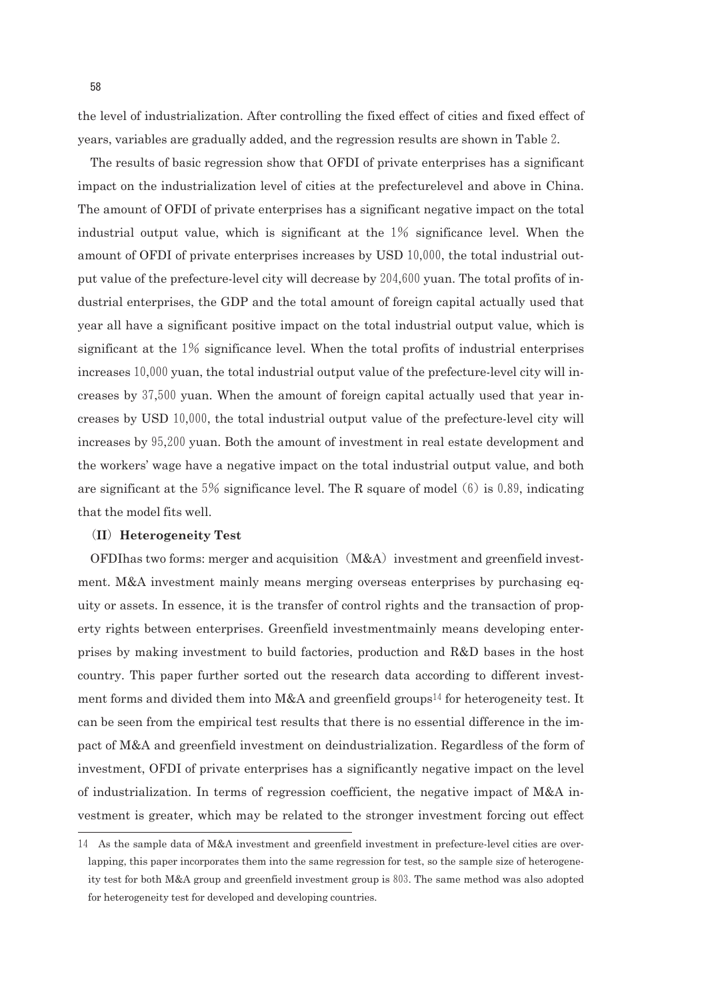the level of industrialization. After controlling the fixed effect of cities and fixed effect of years, variables are gradually added, and the regression results are shown in Table2.

The results of basic regression show that OFDI of private enterprises has a significant impact on the industrialization level of cities at the prefecturelevel and above in China. The amount of OFDI of private enterprises has a significant negative impact on the total industrial output value, which is significant at the 1% significance level. When the amount of OFDI of private enterprises increases by USD 10,000, the total industrial output value of the prefecture-level city will decrease by 204,600 yuan. The total profits of industrial enterprises, the GDP and the total amount of foreign capital actually used that year all have a significant positive impact on the total industrial output value, which is significant at the 1% significance level. When the total profits of industrial enterprises increases 10,000 yuan, the total industrial output value of the prefecture-level city will increases by 37,500 yuan. When the amount of foreign capital actually used that year increases by USD10,000, the total industrial output value of the prefecturelevel city will increases by 95,200 yuan. Both the amount of investment in real estate development and the workers' wage have a negative impact on the total industrial output value, and both are significant at the  $5\%$  significance level. The R square of model (6) is 0.89, indicating that the model fits well.

#### (**II**)**Heterogeneity Test**

OFDIhas two forms: merger and acquisition  $(M&A)$  investment and greenfield investment. M&A investment mainly means merging overseas enterprises by purchasing equity or assets. In essence, it is the transfer of control rights and the transaction of property rights between enterprises. Greenfield investmentmainly means developing enterprises by making investment to build factories, production and R&D bases in the host country. This paper further sorted out the research data according to different investment forms and divided them into M&A and greenfield groups<sup>14</sup> for heterogeneity test. It can be seen from the empirical test results that there is no essential difference in the impact of M&A and greenfield investment on deindustrialization. Regardless of the form of investment, OFDI of private enterprises has a significantly negative impact on the level of industrialization. In terms of regression coefficient, the negative impact of M&A investment is greater, which may be related to the stronger investment forcing out effect

<sup>14</sup> As the sample data of M&A investment and greenfield investment in prefecturelevel cities are overlapping, this paper incorporates them into the same regression for test, so the sample size of heterogeneity test for both M&A group and greenfield investment group is803. The same method was also adopted for heterogeneity test for developed and developing countries.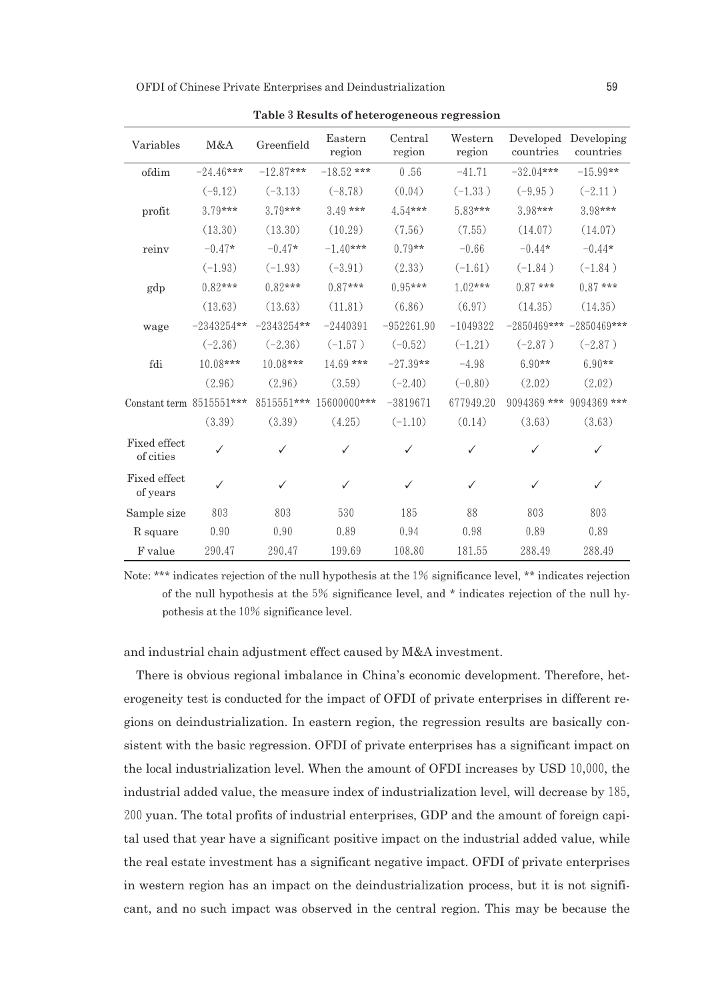OFDI of Chinese Private Enterprises and Deindustrialization 59

| Variables                 | M&A          | Greenfield   | Eastern<br>region | Central<br>region | Western<br>region | Developed<br>countries | Developing<br>countries     |
|---------------------------|--------------|--------------|-------------------|-------------------|-------------------|------------------------|-----------------------------|
| ofdim                     | $-24.46***$  | $-12.87***$  | $-18.52$ ***      | 0.56              | $-41.71$          | $-32.04***$            | $-15.99**$                  |
|                           | $(-9.12)$    | $(-3.13)$    | $(-8.78)$         | (0.04)            | $(-1.33)$         | $(-9.95)$              | $(-2.11)$                   |
| profit                    | $3.79***$    | $3.79***$    | $3.49***$         | $4.54***$         | 5.83***           | $3.98***$              | $3.98***$                   |
|                           | (13.30)      | (13.30)      | (10.29)           | (7.56)            | (7.55)            | (14.07)                | (14.07)                     |
| reinv                     | $-0.47*$     | $-0.47*$     | $-1.40***$        | $0.79**$          | $-0.66$           | $-0.44*$               | $-0.44*$                    |
|                           | $(-1.93)$    | $(-1.93)$    | $(-3.91)$         | (2.33)            | $(-1.61)$         | $(-1.84)$              | $(-1.84)$                   |
| gdp                       | $0.82***$    | $0.82***$    | $0.87***$         | $0.95***$         | $1.02***$         | $0.87***$              | $0.87***$                   |
|                           | (13.63)      | (13.63)      | (11.81)           | (6.86)            | (6.97)            | (14.35)                | (14.35)                     |
| wage                      | $-2343254**$ | $-2343254**$ | $-2440391$        | $-952261.90$      | $-1049322$        |                        | $-2850469***$ $-2850469***$ |
|                           | $(-2.36)$    | $(-2.36)$    | $(-1.57)$         | $(-0.52)$         | $(-1.21)$         | $(-2.87)$              | $(-2.87)$                   |
| fdi                       | 10.08***     | $10.08***$   | $14.69***$        | $-27.39**$        | $-4.98$           | $6.90**$               | $6.90**$                    |
|                           | (2.96)       | (2.96)       | (3.59)            | $(-2.40)$         | $(-0.80)$         | (2.02)                 | (2.02)                      |
| Constant term 8515551***  |              | 8515551***   | 15600000***       | $-3819671$        | 677949.20         | 9094369 ***            | $9094369$ ***               |
|                           | (3.39)       | (3.39)       | (4.25)            | $(-1.10)$         | (0.14)            | (3.63)                 | (3.63)                      |
| Fixed effect<br>of cities | ✓            | ✓            | ✓                 | ✓                 | ✓                 | ✓                      | ✓                           |
| Fixed effect<br>of years  | ✓            | ✓            | ✓                 | ✓                 | ✓                 | ✓                      | ✓                           |
| Sample size               | 803          | 803          | 530               | 185               | 88                | 803                    | 803                         |
| R square                  | 0.90         | 0.90         | 0.89              | 0.94              | 0.98              | 0.89                   | 0.89                        |
| F value                   | 290.47       | 290.47       | 199.69            | 108.80            | 181.55            | 288.49                 | 288.49                      |

**Table**3**Results of heterogeneous regression**

Note: \*\*\* indicates rejection of the null hypothesis at the 1% significance level, \*\* indicates rejection of the null hypothesis at the5% significance level, and \* indicates rejection of the null hypothesis at the 10% significance level.

and industrial chain adjustment effect caused by M&A investment.

There is obvious regional imbalance in China's economic development. Therefore, heterogeneity test is conducted for the impact of OFDI of private enterprises in different regions on deindustrialization. In eastern region, the regression results are basically consistent with the basic regression. OFDI of private enterprises has a significant impact on the local industrialization level. When the amount of OFDI increases by USD 10,000, the industrial added value, the measure index of industrialization level, will decrease by185, 200 yuan. The total profits of industrial enterprises, GDP and the amount of foreign capital used that year have a significant positive impact on the industrial added value, while the real estate investment has a significant negative impact. OFDI of private enterprises in western region has an impact on the deindustrialization process, but it is not significant, and no such impact was observed in the central region. This may be because the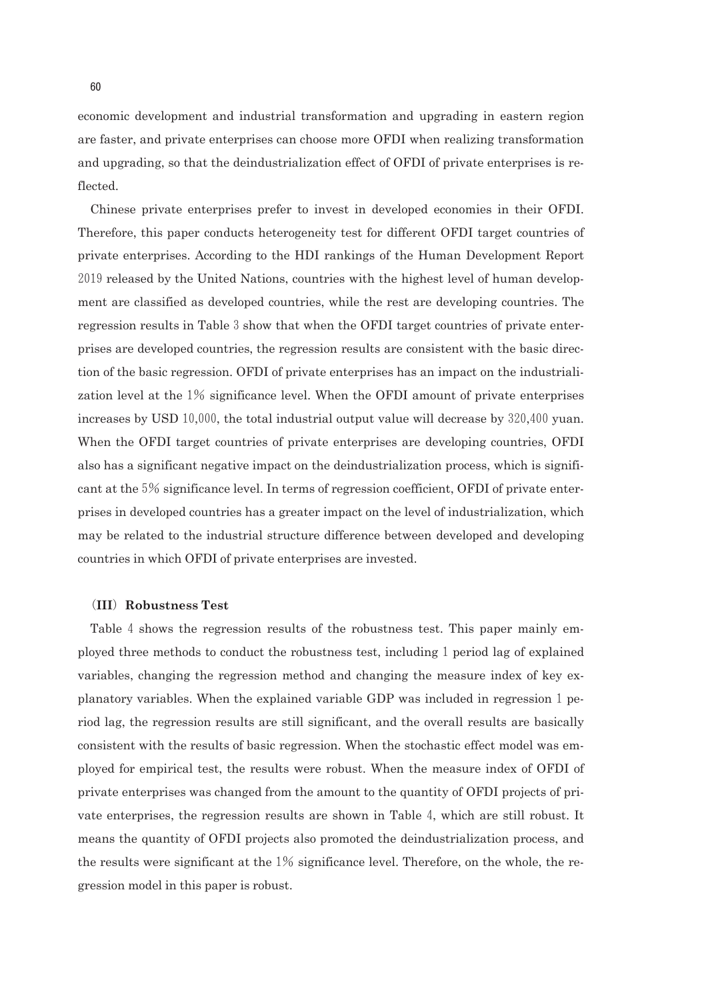economic development and industrial transformation and upgrading in eastern region are faster, and private enterprises can choose more OFDI when realizing transformation and upgrading, so that the deindustrialization effect of OFDI of private enterprises is reflected.

Chinese private enterprises prefer to invest in developed economies in their OFDI. Therefore, this paper conducts heterogeneity test for different OFDI target countries of private enterprises. According to the HDI rankings of the Human Development Report 2019 released by the United Nations, countries with the highest level of human development are classified as developed countries, while the rest are developing countries. The regression results in Table 3 show that when the OFDI target countries of private enterprises are developed countries, the regression results are consistent with the basic direction of the basic regression. OFDI of private enterprises has an impact on the industrialization level at the1% significance level. When the OFDI amount of private enterprises increases by USD 10,000, the total industrial output value will decrease by 320,400 yuan. When the OFDI target countries of private enterprises are developing countries, OFDI also has a significant negative impact on the deindustrialization process, which is significant at the5% significance level. In terms of regression coefficient, OFDI of private enterprises in developed countries has a greater impact on the level of industrialization, which may be related to the industrial structure difference between developed and developing countries in which OFDI of private enterprises are invested.

#### (**III**)**Robustness Test**

Table 4 shows the regression results of the robustness test. This paper mainly employed three methods to conduct the robustness test, including 1 period lag of explained variables, changing the regression method and changing the measure index of key explanatory variables. When the explained variable GDP was included in regression 1 period lag, the regression results are still significant, and the overall results are basically consistent with the results of basic regression. When the stochastic effect model was employed for empirical test, the results were robust. When the measure index of OFDI of private enterprises was changed from the amount to the quantity of OFDI projects of private enterprises, the regression results are shown in Table4, which are still robust. It means the quantity of OFDI projects also promoted the deindustrialization process, and the results were significant at the  $1\%$  significance level. Therefore, on the whole, the regression model in this paper is robust.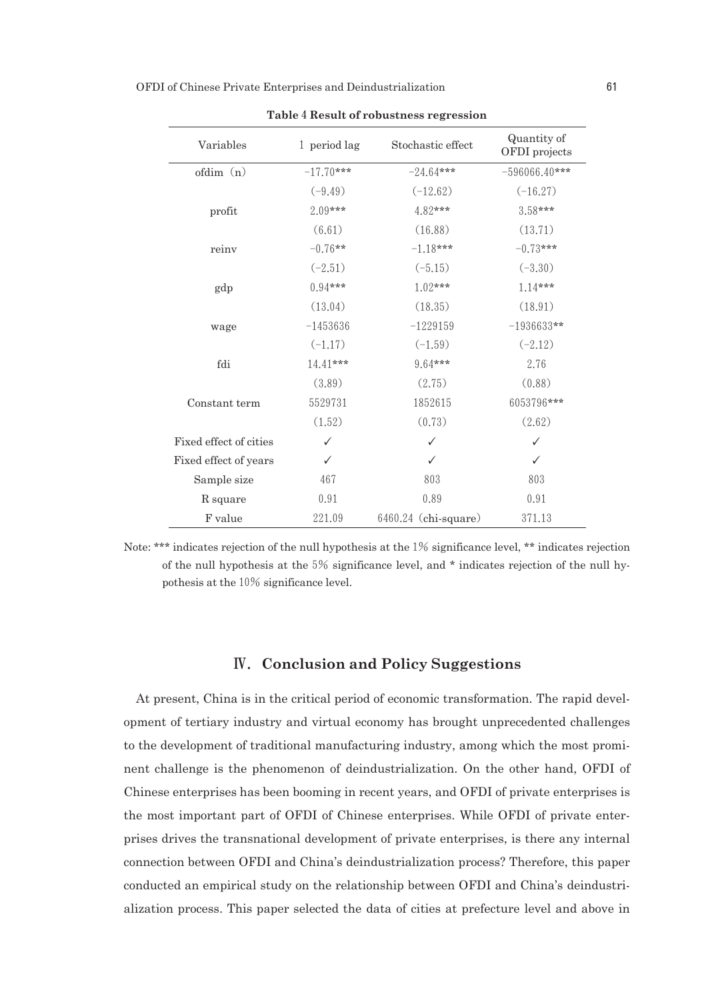| Variables              | 1 period lag | Stochastic effect      | Quantity of<br>OFDI projects |  |
|------------------------|--------------|------------------------|------------------------------|--|
| ofdim (n)              | $-17.70***$  | $-24.64***$            | $-596066.40***$              |  |
|                        | $(-9.49)$    | $(-12.62)$             | $(-16.27)$                   |  |
| profit                 | 2.09***      | 4.82***                | $3.58***$                    |  |
|                        | (6.61)       | (16.88)                | (13.71)                      |  |
| reinv                  | $-0.76**$    | $-1.18***$             | $-0.73***$                   |  |
|                        | $(-2.51)$    | $(-5.15)$              | $(-3.30)$                    |  |
| gdp                    | $0.94***$    | $1.02***$              | $1.14***$                    |  |
|                        | (13.04)      | (18.35)                | (18.91)                      |  |
| wage                   | $-1453636$   | $-1229159$             | $-1936633**$                 |  |
|                        | $(-1.17)$    | $(-1.59)$              | $(-2.12)$                    |  |
| fdi                    | $14.41***$   | $964***$               | 2.76                         |  |
|                        | (3.89)       | (2.75)                 | (0.88)                       |  |
| Constant term          | 5529731      | 1852615                | 6053796***                   |  |
|                        | (1.52)       | (0.73)                 | (2.62)                       |  |
| Fixed effect of cities | ✓            | ✓                      | ✓                            |  |
| Fixed effect of years  | ✓            | ✓                      | ✓                            |  |
| Sample size            | 467          | 803                    | 803                          |  |
| R square               | 0.91         | 0.89                   | 0.91                         |  |
| F value                | 221.09       | $6460.24$ (chi-square) | 371.13                       |  |

**Table**4**Result of robustness regression**

Note: \*\*\* indicates rejection of the null hypothesis at the 1% significance level, \*\* indicates rejection of the null hypothesis at the  $5\%$  significance level, and  $*$  indicates rejection of the null hypothesis at the 10% significance level.

# Ⅳ.**Conclusion and Policy Suggestions**

At present, China is in the critical period of economic transformation. The rapid development of tertiary industry and virtual economy has brought unprecedented challenges to the development of traditional manufacturing industry, among which the most prominent challenge is the phenomenon of deindustrialization. On the other hand, OFDI of Chinese enterprises has been booming in recent years, and OFDI of private enterprises is the most important part of OFDI of Chinese enterprises. While OFDI of private enterprises drives the transnational development of private enterprises, is there any internal connection between OFDI and China's deindustrialization process? Therefore, this paper conducted an empirical study on the relationship between OFDI and China's deindustrialization process. This paper selected the data of cities at prefecture level and above in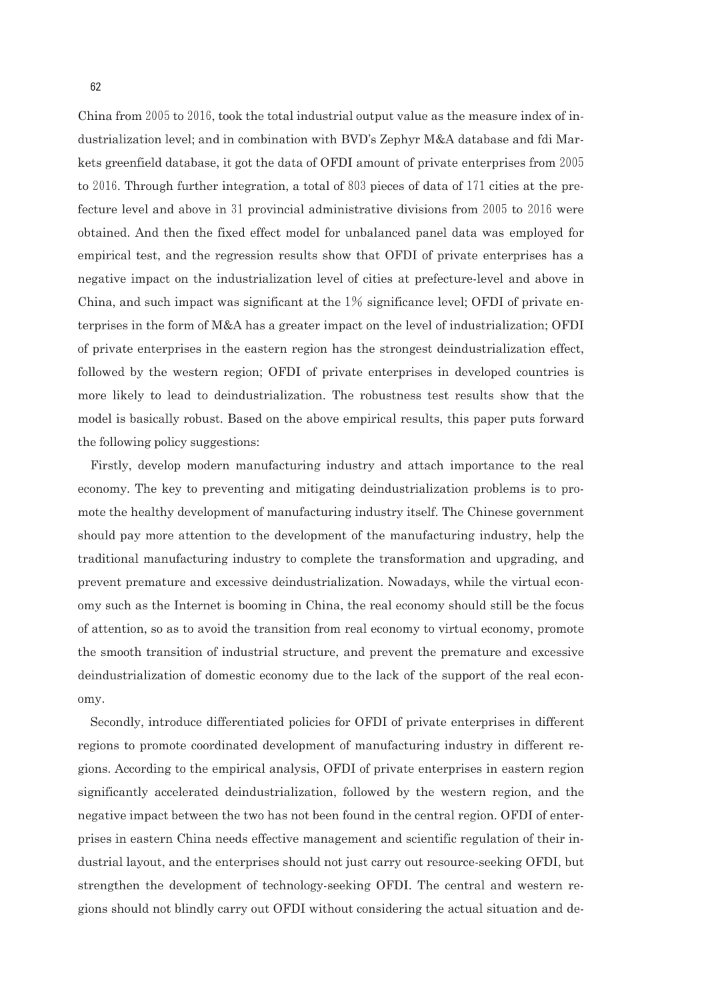China from  $2005$  to  $2016$ , took the total industrial output value as the measure index of industrialization level; and in combination with BVD's Zephyr M&A database and fdi Markets greenfield database, it got the data of OFDI amount of private enterprises from 2005 to 2016. Through further integration, a total of  $803$  pieces of data of 171 cities at the prefecture level and above in 31 provincial administrative divisions from  $2005$  to  $2016$  were obtained. And then the fixed effect model for unbalanced panel data was employed for empirical test, and the regression results show that OFDI of private enterprises has a negative impact on the industrialization level of cities at prefecture-level and above in China, and such impact was significant at the  $1\%$  significance level; OFDI of private enterprises in the form of M&A has a greater impact on the level of industrialization; OFDI of private enterprises in the eastern region has the strongest deindustrialization effect, followed by the western region; OFDI of private enterprises in developed countries is more likely to lead to deindustrialization. The robustness test results show that the model is basically robust. Based on the above empirical results, this paper puts forward the following policy suggestions:

Firstly, develop modern manufacturing industry and attach importance to the real economy. The key to preventing and mitigating deindustrialization problems is to promote the healthy development of manufacturing industry itself. The Chinese government should pay more attention to the development of the manufacturing industry, help the traditional manufacturing industry to complete the transformation and upgrading, and prevent premature and excessive deindustrialization. Nowadays, while the virtual economy such as the Internet is booming in China, the real economy should still be the focus of attention, so as to avoid the transition from real economy to virtual economy, promote the smooth transition of industrial structure, and prevent the premature and excessive deindustrialization of domestic economy due to the lack of the support of the real economy.

Secondly, introduce differentiated policies for OFDI of private enterprises in different regions to promote coordinated development of manufacturing industry in different regions. According to the empirical analysis, OFDI of private enterprises in eastern region significantly accelerated deindustrialization, followed by the western region, and the negative impact between the two has not been found in the central region. OFDI of enterprises in eastern China needs effective management and scientific regulation of their industrial layout, and the enterprises should not just carry out resource-seeking OFDI, but strengthen the development of technology-seeking OFDI. The central and western regions should not blindly carry out OFDI without considering the actual situation and de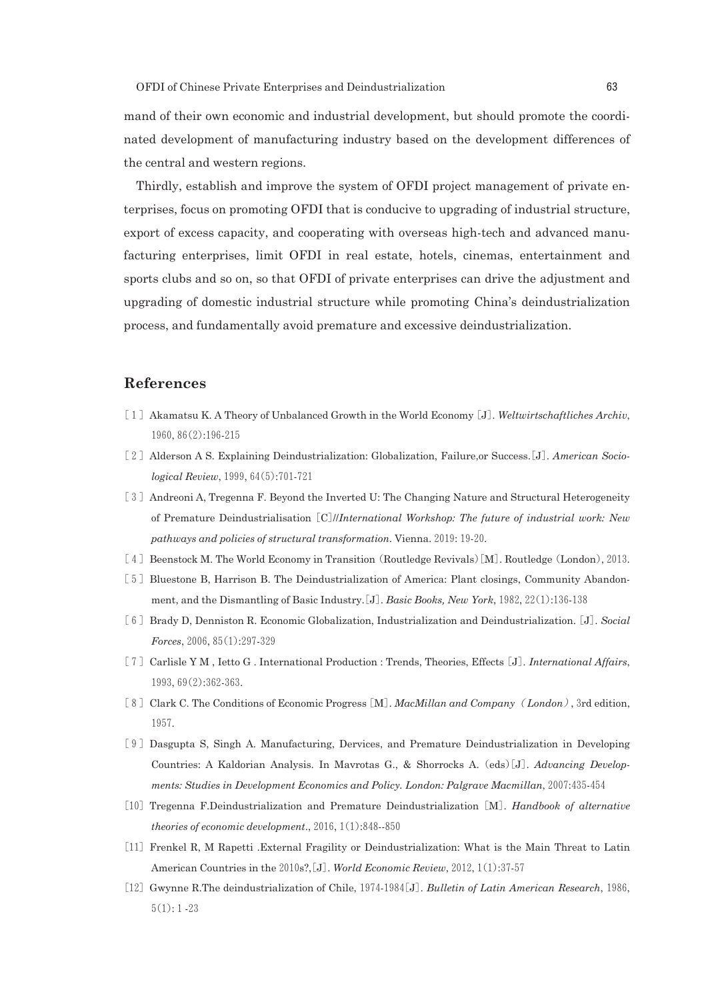mand of their own economic and industrial development, but should promote the coordinated development of manufacturing industry based on the development differences of the central and western regions.

Thirdly, establish and improve the system of OFDI project management of private enterprises, focus on promoting OFDI that is conducive to upgrading of industrial structure, export of excess capacity, and cooperating with overseas high-tech and advanced manufacturing enterprises, limit OFDI in real estate, hotels, cinemas, entertainment and sports clubs and so on, so that OFDI of private enterprises can drive the adjustment and upgrading of domestic industrial structure while promoting China's deindustrialization process, and fundamentally avoid premature and excessive deindustrialization.

# **References**

- [1]Akamatsu K. A Theory of Unbalanced Growth in the World Economy[J]. *Weltwirtschaftliches Archiv*, 1960,86(2):196-215
- [2]Alderson A S. Explaining Deindustrialization: Globalization, Failure,or Success.[J]. *American Sociological Review*,1999,64(5):701-721
- [3] Andreoni A, Tregenna F. Beyond the Inverted U: The Changing Nature and Structural Heterogeneity of Premature Deindustrialisation[C]//*International Workshop: The future of industrial work: New pathways and policies of structural transformation*. Vienna.2019:19-20.
- [4] Beenstock M. The World Economy in Transition (Routledge Revivals) [M]. Routledge (London), 2013.
- [5] Bluestone B, Harrison B. The Deindustrialization of America: Plant closings, Community Abandonment, and the Dismantling of Basic Industry.[J]. *Basic Books, New York*,1982,22(1):136-138
- [6]Brady D, Denniston R. Economic Globalization, Industrialization and Deindustrialization.[J]. *Social Forces*,2006,85(1):297-329
- [7]Carlisle Y M , Ietto G . International Production : Trends, Theories, Effects[J]. *International Affairs*, 1993,69(2):362-363.
- [8]Clark C. The Conditions of Economic Progress[M]. *MacMillan and Company*( *London*),3rd edition, 1957.
- [9]Dasgupta S, Singh A. Manufacturing, Dervices, and Premature Deindustrialization in Developing Countries: A Kaldorian Analysis. In Mavrotas G., & Shorrocks A.(eds)[J]. *Advancing Developments: Studies in Development Economics and Policy. London: Palgrave Macmillan*,2007:435-454
- [10]Tregenna F.Deindustrialization and Premature Deindustrialization[M]. *Handbook of alternative theories of economic development*.,2016,1(1):848--850
- [11] Frenkel R, M Rapetti .External Fragility or Deindustrialization: What is the Main Threat to Latin American Countries in the 2010s?, [J]. *World Economic Review*, 2012, 1(1):37-57
- [12]Gwynne R.The deindustrialization of Chile,1974-1984[J]. *Bulletin of Latin American Research*,1986,  $5(1):1-23$